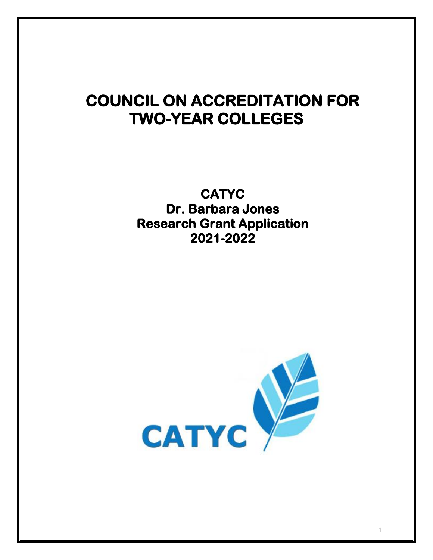## **COUNCIL ON ACCREDITATION FOR TWO-YEAR COLLEGES**

**CATYC Dr. Barbara Jones Research Grant Application 2021-2022**